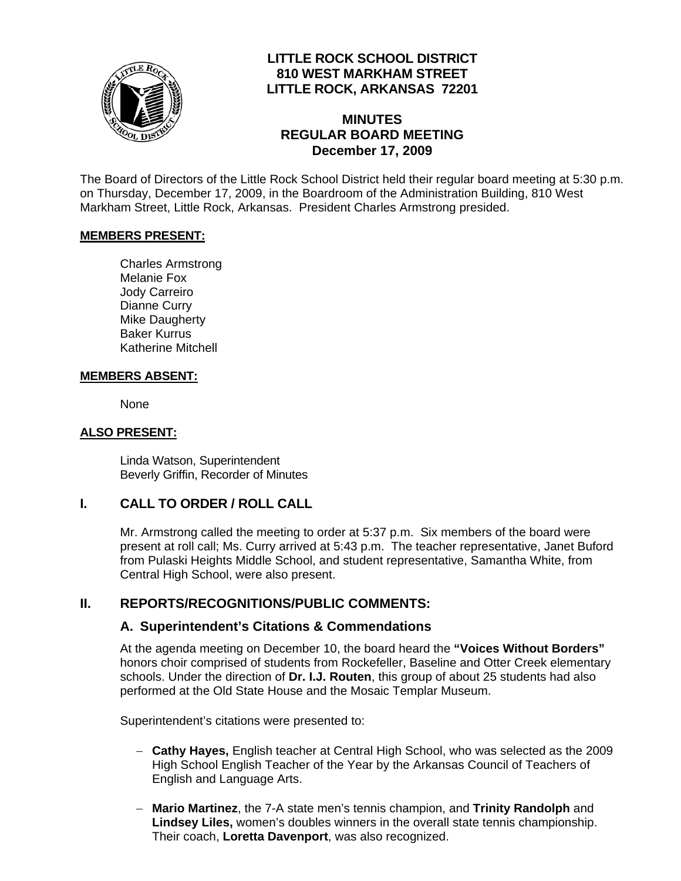

# **LITTLE ROCK SCHOOL DISTRICT 810 WEST MARKHAM STREET LITTLE ROCK, ARKANSAS 72201**

# **MINUTES REGULAR BOARD MEETING December 17, 2009**

The Board of Directors of the Little Rock School District held their regular board meeting at 5:30 p.m. on Thursday, December 17, 2009, in the Boardroom of the Administration Building, 810 West Markham Street, Little Rock, Arkansas. President Charles Armstrong presided.

#### **MEMBERS PRESENT:**

Charles Armstrong Melanie Fox Jody Carreiro Dianne Curry Mike Daugherty Baker Kurrus Katherine Mitchell

#### **MEMBERS ABSENT:**

None

#### **ALSO PRESENT:**

 Linda Watson, Superintendent Beverly Griffin, Recorder of Minutes

### **I. CALL TO ORDER / ROLL CALL**

Mr. Armstrong called the meeting to order at 5:37 p.m. Six members of the board were present at roll call; Ms. Curry arrived at 5:43 p.m. The teacher representative, Janet Buford from Pulaski Heights Middle School, and student representative, Samantha White, from Central High School, were also present.

### **II. REPORTS/RECOGNITIONS/PUBLIC COMMENTS:**

### **A. Superintendent's Citations & Commendations**

At the agenda meeting on December 10, the board heard the **"Voices Without Borders"** honors choir comprised of students from Rockefeller, Baseline and Otter Creek elementary schools. Under the direction of **Dr. I.J. Routen**, this group of about 25 students had also performed at the Old State House and the Mosaic Templar Museum.

Superintendent's citations were presented to:

- − **Cathy Hayes,** English teacher at Central High School, who was selected as the 2009 High School English Teacher of the Year by the Arkansas Council of Teachers of English and Language Arts.
- − **Mario Martinez**, the 7-A state men's tennis champion, and **Trinity Randolph** and **Lindsey Liles,** women's doubles winners in the overall state tennis championship. Their coach, **Loretta Davenport**, was also recognized.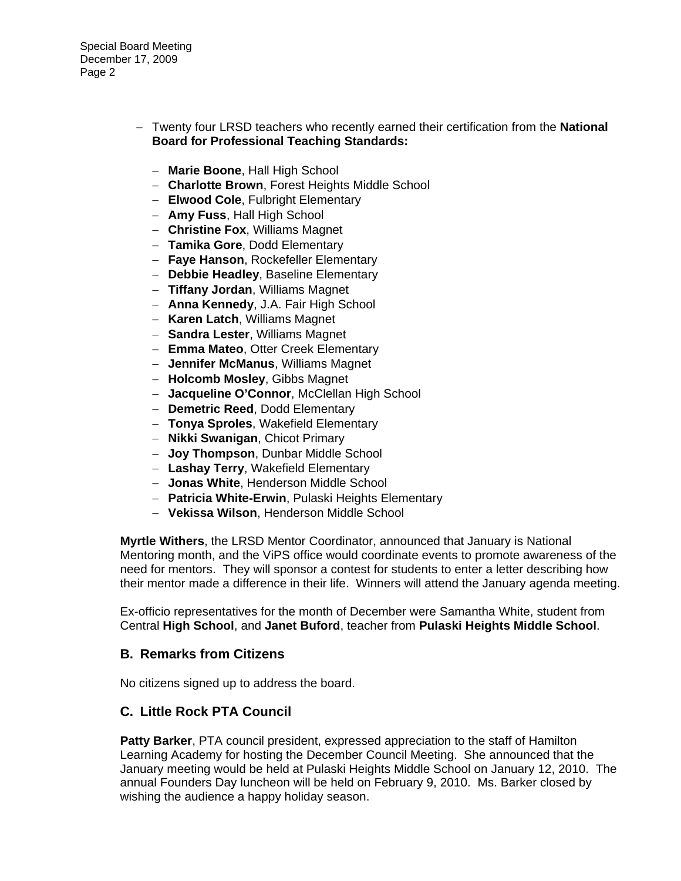Special Board Meeting December 17, 2009 Page 2

- − Twenty four LRSD teachers who recently earned their certification from the **National Board for Professional Teaching Standards:** 
	- − **Marie Boone**, Hall High School
	- − **Charlotte Brown**, Forest Heights Middle School
	- − **Elwood Cole**, Fulbright Elementary
	- − **Amy Fuss**, Hall High School
	- − **Christine Fox**, Williams Magnet
	- − **Tamika Gore**, Dodd Elementary
	- − **Faye Hanson**, Rockefeller Elementary
	- − **Debbie Headley**, Baseline Elementary
	- − **Tiffany Jordan**, Williams Magnet
	- − **Anna Kennedy**, J.A. Fair High School
	- − **Karen Latch**, Williams Magnet
	- − **Sandra Lester**, Williams Magnet
	- − **Emma Mateo**, Otter Creek Elementary
	- − **Jennifer McManus**, Williams Magnet
	- − **Holcomb Mosley**, Gibbs Magnet
	- − **Jacqueline O'Connor**, McClellan High School
	- − **Demetric Reed**, Dodd Elementary
	- − **Tonya Sproles**, Wakefield Elementary
	- − **Nikki Swanigan**, Chicot Primary
	- − **Joy Thompson**, Dunbar Middle School
	- − **Lashay Terry**, Wakefield Elementary
	- − **Jonas White**, Henderson Middle School
	- − **Patricia White-Erwin**, Pulaski Heights Elementary
	- − **Vekissa Wilson**, Henderson Middle School

**Myrtle Withers**, the LRSD Mentor Coordinator, announced that January is National Mentoring month, and the ViPS office would coordinate events to promote awareness of the need for mentors. They will sponsor a contest for students to enter a letter describing how their mentor made a difference in their life. Winners will attend the January agenda meeting.

Ex-officio representatives for the month of December were Samantha White, student from Central **High School**, and **Janet Buford**, teacher from **Pulaski Heights Middle School**.

#### **B. Remarks from Citizens**

No citizens signed up to address the board.

#### **C. Little Rock PTA Council**

**Patty Barker**, PTA council president, expressed appreciation to the staff of Hamilton Learning Academy for hosting the December Council Meeting. She announced that the January meeting would be held at Pulaski Heights Middle School on January 12, 2010. The annual Founders Day luncheon will be held on February 9, 2010. Ms. Barker closed by wishing the audience a happy holiday season.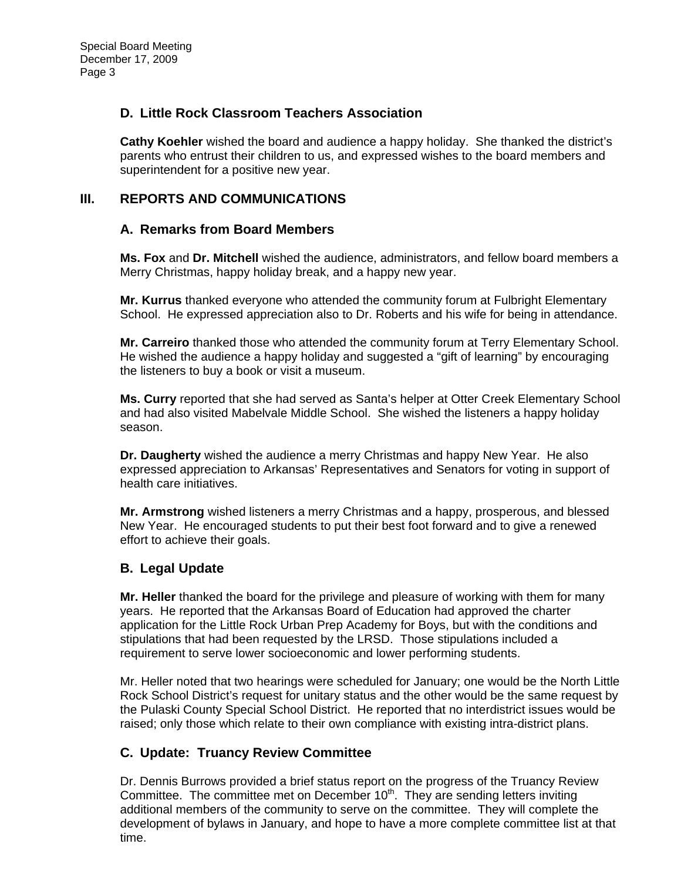## **D. Little Rock Classroom Teachers Association**

**Cathy Koehler** wished the board and audience a happy holiday. She thanked the district's parents who entrust their children to us, and expressed wishes to the board members and superintendent for a positive new year.

# **III. REPORTS AND COMMUNICATIONS**

### **A. Remarks from Board Members**

**Ms. Fox** and **Dr. Mitchell** wished the audience, administrators, and fellow board members a Merry Christmas, happy holiday break, and a happy new year.

**Mr. Kurrus** thanked everyone who attended the community forum at Fulbright Elementary School. He expressed appreciation also to Dr. Roberts and his wife for being in attendance.

**Mr. Carreiro** thanked those who attended the community forum at Terry Elementary School. He wished the audience a happy holiday and suggested a "gift of learning" by encouraging the listeners to buy a book or visit a museum.

**Ms. Curry** reported that she had served as Santa's helper at Otter Creek Elementary School and had also visited Mabelvale Middle School. She wished the listeners a happy holiday season.

**Dr. Daugherty** wished the audience a merry Christmas and happy New Year. He also expressed appreciation to Arkansas' Representatives and Senators for voting in support of health care initiatives.

**Mr. Armstrong** wished listeners a merry Christmas and a happy, prosperous, and blessed New Year. He encouraged students to put their best foot forward and to give a renewed effort to achieve their goals.

# **B. Legal Update**

**Mr. Heller** thanked the board for the privilege and pleasure of working with them for many years. He reported that the Arkansas Board of Education had approved the charter application for the Little Rock Urban Prep Academy for Boys, but with the conditions and stipulations that had been requested by the LRSD. Those stipulations included a requirement to serve lower socioeconomic and lower performing students.

Mr. Heller noted that two hearings were scheduled for January; one would be the North Little Rock School District's request for unitary status and the other would be the same request by the Pulaski County Special School District. He reported that no interdistrict issues would be raised; only those which relate to their own compliance with existing intra-district plans.

### **C. Update: Truancy Review Committee**

Dr. Dennis Burrows provided a brief status report on the progress of the Truancy Review Committee. The committee met on December  $10<sup>th</sup>$ . They are sending letters inviting additional members of the community to serve on the committee. They will complete the development of bylaws in January, and hope to have a more complete committee list at that time.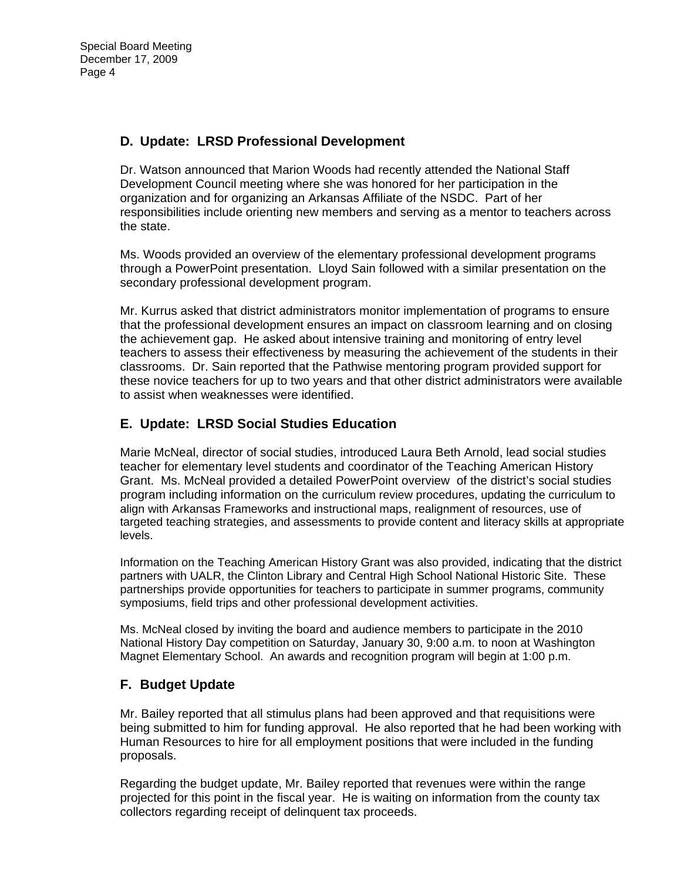# **D. Update: LRSD Professional Development**

Dr. Watson announced that Marion Woods had recently attended the National Staff Development Council meeting where she was honored for her participation in the organization and for organizing an Arkansas Affiliate of the NSDC. Part of her responsibilities include orienting new members and serving as a mentor to teachers across the state.

Ms. Woods provided an overview of the elementary professional development programs through a PowerPoint presentation. Lloyd Sain followed with a similar presentation on the secondary professional development program.

Mr. Kurrus asked that district administrators monitor implementation of programs to ensure that the professional development ensures an impact on classroom learning and on closing the achievement gap. He asked about intensive training and monitoring of entry level teachers to assess their effectiveness by measuring the achievement of the students in their classrooms. Dr. Sain reported that the Pathwise mentoring program provided support for these novice teachers for up to two years and that other district administrators were available to assist when weaknesses were identified.

# **E. Update: LRSD Social Studies Education**

Marie McNeal, director of social studies, introduced Laura Beth Arnold, lead social studies teacher for elementary level students and coordinator of the Teaching American History Grant. Ms. McNeal provided a detailed PowerPoint overview of the district's social studies program including information on the curriculum review procedures, updating the curriculum to align with Arkansas Frameworks and instructional maps, realignment of resources, use of targeted teaching strategies, and assessments to provide content and literacy skills at appropriate levels.

Information on the Teaching American History Grant was also provided, indicating that the district partners with UALR, the Clinton Library and Central High School National Historic Site. These partnerships provide opportunities for teachers to participate in summer programs, community symposiums, field trips and other professional development activities.

Ms. McNeal closed by inviting the board and audience members to participate in the 2010 National History Day competition on Saturday, January 30, 9:00 a.m. to noon at Washington Magnet Elementary School. An awards and recognition program will begin at 1:00 p.m.

# **F. Budget Update**

Mr. Bailey reported that all stimulus plans had been approved and that requisitions were being submitted to him for funding approval. He also reported that he had been working with Human Resources to hire for all employment positions that were included in the funding proposals.

Regarding the budget update, Mr. Bailey reported that revenues were within the range projected for this point in the fiscal year. He is waiting on information from the county tax collectors regarding receipt of delinquent tax proceeds.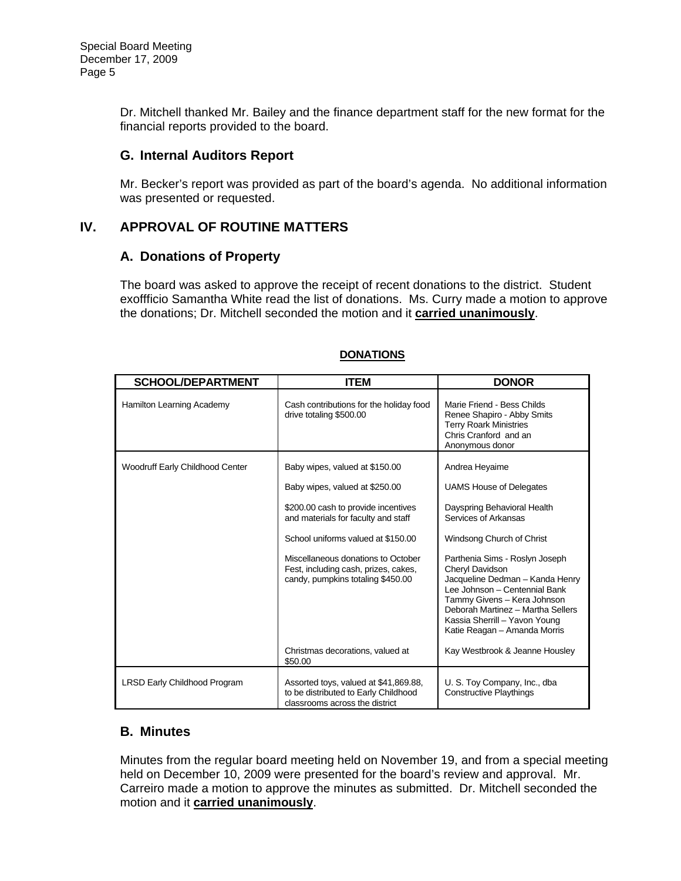Dr. Mitchell thanked Mr. Bailey and the finance department staff for the new format for the financial reports provided to the board.

#### **G. Internal Auditors Report**

Mr. Becker's report was provided as part of the board's agenda. No additional information was presented or requested.

### **IV. APPROVAL OF ROUTINE MATTERS**

#### **A. Donations of Property**

The board was asked to approve the receipt of recent donations to the district. Student exoffficio Samantha White read the list of donations. Ms. Curry made a motion to approve the donations; Dr. Mitchell seconded the motion and it **carried unanimously**.

| <b>SCHOOL/DEPARTMENT</b>            | <b>ITEM</b>                                                                                                     | <b>DONOR</b>                                                                                                                                                                                                                                               |
|-------------------------------------|-----------------------------------------------------------------------------------------------------------------|------------------------------------------------------------------------------------------------------------------------------------------------------------------------------------------------------------------------------------------------------------|
| Hamilton Learning Academy           | Cash contributions for the holiday food<br>drive totaling \$500.00                                              | Marie Friend - Bess Childs<br>Renee Shapiro - Abby Smits<br><b>Terry Roark Ministries</b><br>Chris Cranford and an<br>Anonymous donor                                                                                                                      |
| Woodruff Early Childhood Center     | Baby wipes, valued at \$150.00                                                                                  | Andrea Heyaime                                                                                                                                                                                                                                             |
|                                     | Baby wipes, valued at \$250.00                                                                                  | <b>UAMS House of Delegates</b>                                                                                                                                                                                                                             |
|                                     | \$200.00 cash to provide incentives<br>and materials for faculty and staff                                      | Dayspring Behavioral Health<br>Services of Arkansas                                                                                                                                                                                                        |
|                                     | School uniforms valued at \$150.00                                                                              | Windsong Church of Christ                                                                                                                                                                                                                                  |
|                                     | Miscellaneous donations to October<br>Fest, including cash, prizes, cakes,<br>candy, pumpkins totaling \$450.00 | Parthenia Sims - Roslyn Joseph<br>Cheryl Davidson<br>Jacqueline Dedman - Kanda Henry<br>Lee Johnson - Centennial Bank<br>Tammy Givens - Kera Johnson<br>Deborah Martinez - Martha Sellers<br>Kassia Sherrill - Yavon Young<br>Katie Reagan - Amanda Morris |
|                                     | Christmas decorations, valued at<br>\$50.00                                                                     | Kay Westbrook & Jeanne Housley                                                                                                                                                                                                                             |
| <b>LRSD Early Childhood Program</b> | Assorted toys, valued at \$41,869.88,<br>to be distributed to Early Childhood<br>classrooms across the district | U. S. Toy Company, Inc., dba<br><b>Constructive Playthings</b>                                                                                                                                                                                             |

#### **DONATIONS**

### **B. Minutes**

Minutes from the regular board meeting held on November 19, and from a special meeting held on December 10, 2009 were presented for the board's review and approval. Mr. Carreiro made a motion to approve the minutes as submitted. Dr. Mitchell seconded the motion and it **carried unanimously**.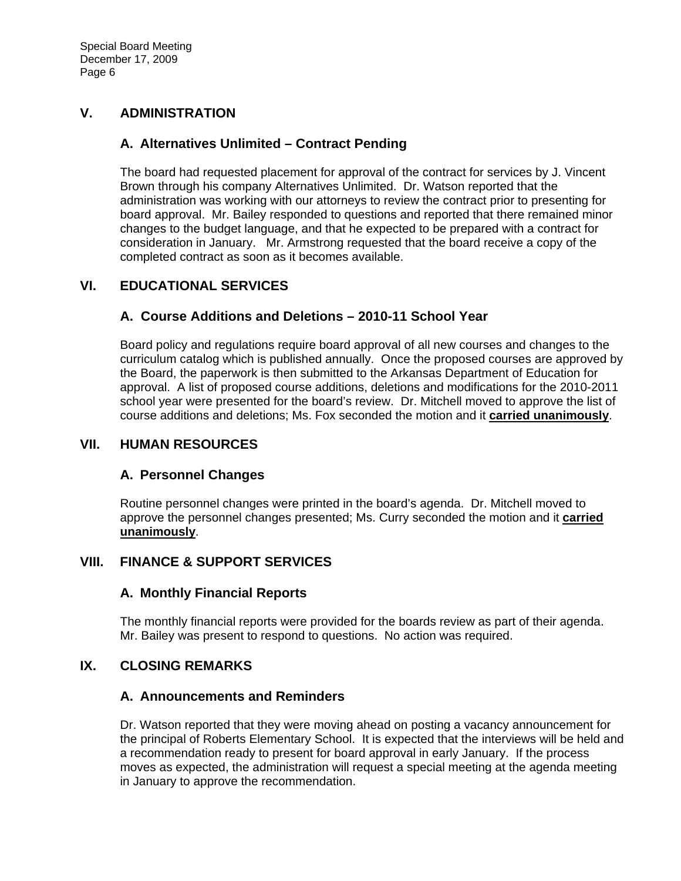# **V. ADMINISTRATION**

### **A. Alternatives Unlimited – Contract Pending**

The board had requested placement for approval of the contract for services by J. Vincent Brown through his company Alternatives Unlimited. Dr. Watson reported that the administration was working with our attorneys to review the contract prior to presenting for board approval. Mr. Bailey responded to questions and reported that there remained minor changes to the budget language, and that he expected to be prepared with a contract for consideration in January. Mr. Armstrong requested that the board receive a copy of the completed contract as soon as it becomes available.

# **VI. EDUCATIONAL SERVICES**

# **A. Course Additions and Deletions – 2010-11 School Year**

Board policy and regulations require board approval of all new courses and changes to the curriculum catalog which is published annually. Once the proposed courses are approved by the Board, the paperwork is then submitted to the Arkansas Department of Education for approval. A list of proposed course additions, deletions and modifications for the 2010-2011 school year were presented for the board's review. Dr. Mitchell moved to approve the list of course additions and deletions; Ms. Fox seconded the motion and it **carried unanimously**.

#### **VII. HUMAN RESOURCES**

### **A. Personnel Changes**

Routine personnel changes were printed in the board's agenda. Dr. Mitchell moved to approve the personnel changes presented; Ms. Curry seconded the motion and it **carried unanimously**.

### **VIII. FINANCE & SUPPORT SERVICES**

### **A. Monthly Financial Reports**

The monthly financial reports were provided for the boards review as part of their agenda. Mr. Bailey was present to respond to questions. No action was required.

### **IX. CLOSING REMARKS**

#### **A. Announcements and Reminders**

Dr. Watson reported that they were moving ahead on posting a vacancy announcement for the principal of Roberts Elementary School. It is expected that the interviews will be held and a recommendation ready to present for board approval in early January. If the process moves as expected, the administration will request a special meeting at the agenda meeting in January to approve the recommendation.